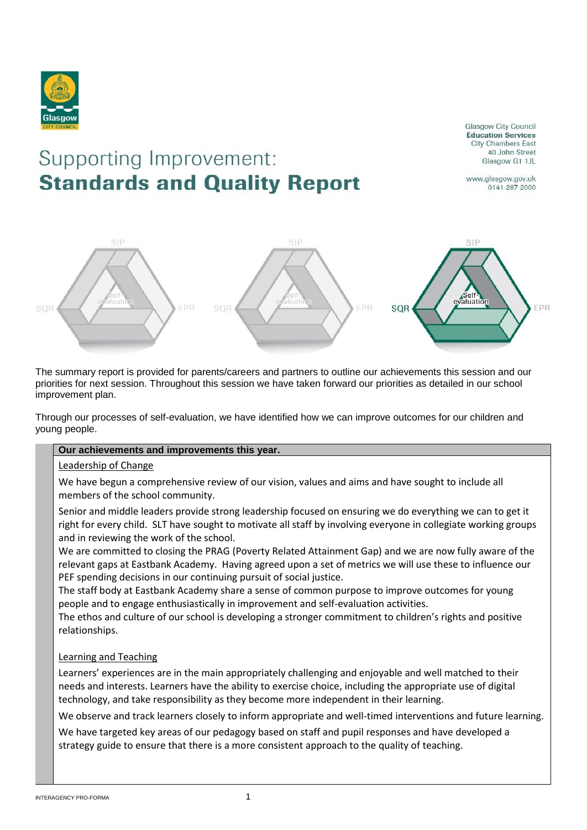

**Glasgow City Council Education Services City Chambers East** 40 John Street Glasgow G1 1JL

# Supporting Improvement: **Standards and Quality Report**

www.glasgow.gov.uk 0141 287 2000



The summary report is provided for parents/careers and partners to outline our achievements this session and our priorities for next session. Throughout this session we have taken forward our priorities as detailed in our school improvement plan.

Through our processes of self-evaluation, we have identified how we can improve outcomes for our children and young people.

#### **Our achievements and improvements this year.**

# Leadership of Change

We have begun a comprehensive review of our vision, values and aims and have sought to include all members of the school community.

Senior and middle leaders provide strong leadership focused on ensuring we do everything we can to get it right for every child. SLT have sought to motivate all staff by involving everyone in collegiate working groups and in reviewing the work of the school.

We are committed to closing the PRAG (Poverty Related Attainment Gap) and we are now fully aware of the relevant gaps at Eastbank Academy. Having agreed upon a set of metrics we will use these to influence our PEF spending decisions in our continuing pursuit of social justice.

The staff body at Eastbank Academy share a sense of common purpose to improve outcomes for young people and to engage enthusiastically in improvement and self-evaluation activities.

The ethos and culture of our school is developing a stronger commitment to children's rights and positive relationships.

# Learning and Teaching

Learners' experiences are in the main appropriately challenging and enjoyable and well matched to their needs and interests. Learners have the ability to exercise choice, including the appropriate use of digital technology, and take responsibility as they become more independent in their learning.

We observe and track learners closely to inform appropriate and well-timed interventions and future learning.

We have targeted key areas of our pedagogy based on staff and pupil responses and have developed a strategy guide to ensure that there is a more consistent approach to the quality of teaching.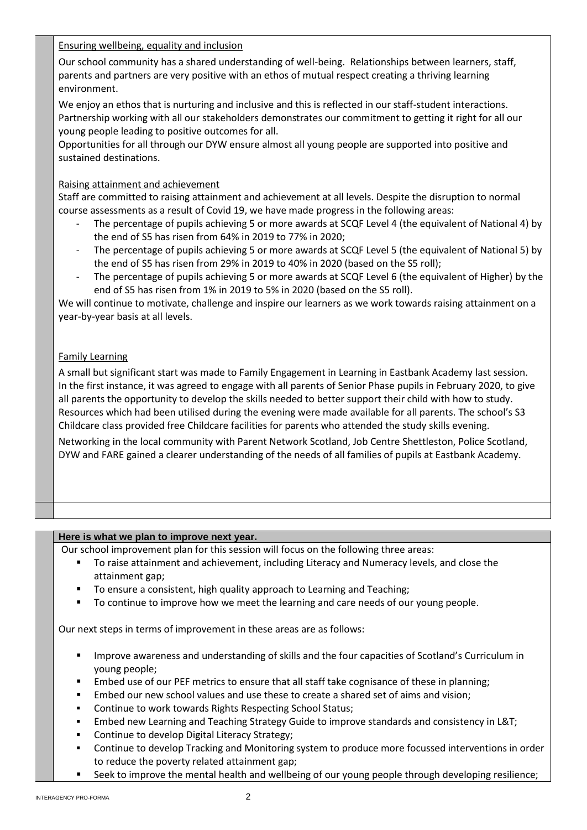Ensuring wellbeing, equality and inclusion

Our school community has a shared understanding of well-being. Relationships between learners, staff, parents and partners are very positive with an ethos of mutual respect creating a thriving learning environment.

We enjoy an ethos that is nurturing and inclusive and this is reflected in our staff-student interactions. Partnership working with all our stakeholders demonstrates our commitment to getting it right for all our young people leading to positive outcomes for all.

Opportunities for all through our DYW ensure almost all young people are supported into positive and sustained destinations.

#### Raising attainment and achievement

Staff are committed to raising attainment and achievement at all levels. Despite the disruption to normal course assessments as a result of Covid 19, we have made progress in the following areas:

- The percentage of pupils achieving 5 or more awards at SCQF Level 4 (the equivalent of National 4) by the end of S5 has risen from 64% in 2019 to 77% in 2020;
- The percentage of pupils achieving 5 or more awards at SCQF Level 5 (the equivalent of National 5) by the end of S5 has risen from 29% in 2019 to 40% in 2020 (based on the S5 roll);
- The percentage of pupils achieving 5 or more awards at SCQF Level 6 (the equivalent of Higher) by the end of S5 has risen from 1% in 2019 to 5% in 2020 (based on the S5 roll).

We will continue to motivate, challenge and inspire our learners as we work towards raising attainment on a year-by-year basis at all levels.

### Family Learning

A small but significant start was made to Family Engagement in Learning in Eastbank Academy last session. In the first instance, it was agreed to engage with all parents of Senior Phase pupils in February 2020, to give all parents the opportunity to develop the skills needed to better support their child with how to study. Resources which had been utilised during the evening were made available for all parents. The school's S3 Childcare class provided free Childcare facilities for parents who attended the study skills evening.

Networking in the local community with Parent Network Scotland, Job Centre Shettleston, Police Scotland, DYW and FARE gained a clearer understanding of the needs of all families of pupils at Eastbank Academy.

#### **Here is what we plan to improve next year.**

- Our school improvement plan for this session will focus on the following three areas:
	- To raise attainment and achievement, including Literacy and Numeracy levels, and close the attainment gap;
	- To ensure a consistent, high quality approach to Learning and Teaching;
	- To continue to improve how we meet the learning and care needs of our young people.

Our next steps in terms of improvement in these areas are as follows:

- **■** Improve awareness and understanding of skills and the four capacities of Scotland's Curriculum in young people;
- Embed use of our PEF metrics to ensure that all staff take cognisance of these in planning;
- Embed our new school values and use these to create a shared set of aims and vision;
- Continue to work towards Rights Respecting School Status;
- Embed new Learning and Teaching Strategy Guide to improve standards and consistency in L&T;
- Continue to develop Digital Literacy Strategy;
- Continue to develop Tracking and Monitoring system to produce more focussed interventions in order to reduce the poverty related attainment gap;
- Seek to improve the mental health and wellbeing of our young people through developing resilience;